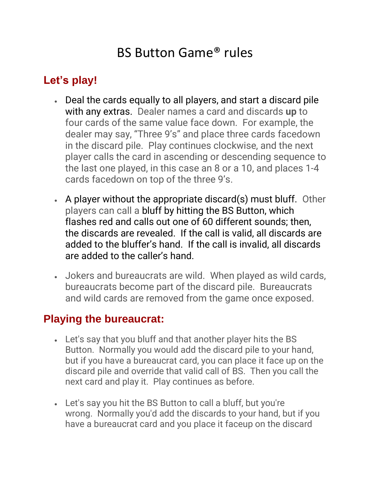## BS Button Game® rules

## **Let's play!**

- Deal the cards equally to all players, and start a discard pile with any extras. Dealer names a card and discards **up** to four cards of the same value face down. For example, the dealer may say, "Three 9's" and place three cards facedown in the discard pile. Play continues clockwise, and the next player calls the card in ascending or descending sequence to the last one played, in this case an 8 or a 10, and places 1-4 cards facedown on top of the three 9's.
- A player without the appropriate discard(s) must bluff. Other players can call a bluff by hitting the BS Button, which flashes red and calls out one of 60 different sounds; then, the discards are revealed. If the call is valid, all discards are added to the bluffer's hand. If the call is invalid, all discards are added to the caller's hand.
- Jokers and bureaucrats are wild. When played as wild cards, bureaucrats become part of the discard pile. Bureaucrats and wild cards are removed from the game once exposed.

## **Playing the bureaucrat:**

- Let's say that you bluff and that another player hits the BS Button. Normally you would add the discard pile to your hand, but if you have a bureaucrat card, you can place it face up on the discard pile and override that valid call of BS. Then you call the next card and play it. Play continues as before.
- Let's say you hit the BS Button to call a bluff, but you're wrong. Normally you'd add the discards to your hand, but if you have a bureaucrat card and you place it faceup on the discard